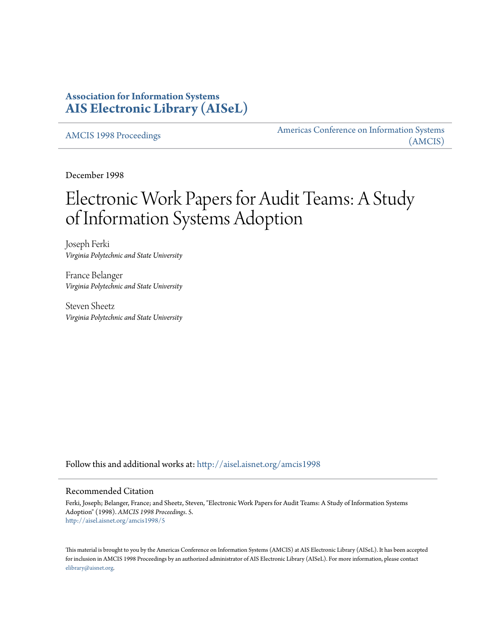# **Association for Information Systems [AIS Electronic Library \(AISeL\)](http://aisel.aisnet.org?utm_source=aisel.aisnet.org%2Famcis1998%2F5&utm_medium=PDF&utm_campaign=PDFCoverPages)**

[AMCIS 1998 Proceedings](http://aisel.aisnet.org/amcis1998?utm_source=aisel.aisnet.org%2Famcis1998%2F5&utm_medium=PDF&utm_campaign=PDFCoverPages)

[Americas Conference on Information Systems](http://aisel.aisnet.org/amcis?utm_source=aisel.aisnet.org%2Famcis1998%2F5&utm_medium=PDF&utm_campaign=PDFCoverPages) [\(AMCIS\)](http://aisel.aisnet.org/amcis?utm_source=aisel.aisnet.org%2Famcis1998%2F5&utm_medium=PDF&utm_campaign=PDFCoverPages)

December 1998

# Electronic Work Papers for Audit Teams: A Study of Information Systems Adoption

Joseph Ferki *Virginia Polytechnic and State University*

France Belanger *Virginia Polytechnic and State University*

Steven Sheetz *Virginia Polytechnic and State University*

Follow this and additional works at: [http://aisel.aisnet.org/amcis1998](http://aisel.aisnet.org/amcis1998?utm_source=aisel.aisnet.org%2Famcis1998%2F5&utm_medium=PDF&utm_campaign=PDFCoverPages)

#### Recommended Citation

Ferki, Joseph; Belanger, France; and Sheetz, Steven, "Electronic Work Papers for Audit Teams: A Study of Information Systems Adoption" (1998). *AMCIS 1998 Proceedings*. 5. [http://aisel.aisnet.org/amcis1998/5](http://aisel.aisnet.org/amcis1998/5?utm_source=aisel.aisnet.org%2Famcis1998%2F5&utm_medium=PDF&utm_campaign=PDFCoverPages)

This material is brought to you by the Americas Conference on Information Systems (AMCIS) at AIS Electronic Library (AISeL). It has been accepted for inclusion in AMCIS 1998 Proceedings by an authorized administrator of AIS Electronic Library (AISeL). For more information, please contact [elibrary@aisnet.org.](mailto:elibrary@aisnet.org%3E)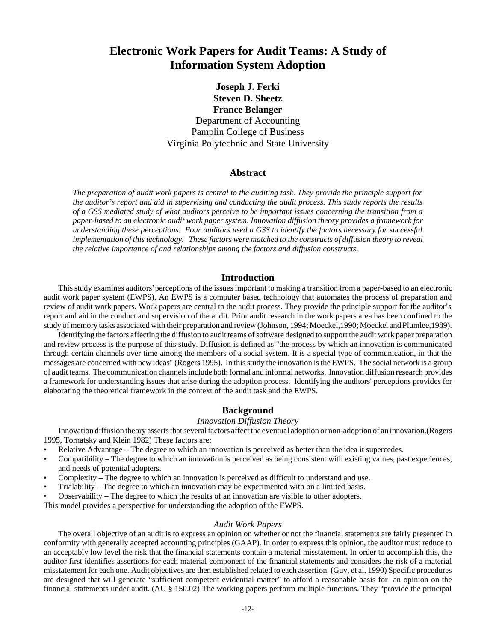# **Electronic Work Papers for Audit Teams: A Study of Information System Adoption**

## **Joseph J. Ferki Steven D. Sheetz France Belanger**

Department of Accounting Pamplin College of Business Virginia Polytechnic and State University

## **Abstract**

*The preparation of audit work papers is central to the auditing task. They provide the principle support for the auditor's report and aid in supervising and conducting the audit process. This study reports the results of a GSS mediated study of what auditors perceive to be important issues concerning the transition from a paper-based to an electronic audit work paper system. Innovation diffusion theory provides a framework for understanding these perceptions. Four auditors used a GSS to identify the factors necessary for successful implementation of this technology. These factors were matched to the constructs of diffusion theory to reveal the relative importance of and relationships among the factors and diffusion constructs.*

#### **Introduction**

This study examines auditors' perceptions of the issues important to making a transition from a paper-based to an electronic audit work paper system (EWPS). An EWPS is a computer based technology that automates the process of preparation and review of audit work papers. Work papers are central to the audit process. They provide the principle support for the auditor's report and aid in the conduct and supervision of the audit. Prior audit research in the work papers area has been confined to the study of memory tasks associated with their preparation and review (Johnson, 1994; Moeckel,1990; Moeckel and Plumlee,1989).

Identifying the factors affecting the diffusion to audit teams of software designed to support the audit work paper preparation and review process is the purpose of this study. Diffusion is defined as "the process by which an innovation is communicated through certain channels over time among the members of a social system. It is a special type of communication, in that the messages are concerned with new ideas" (Rogers 1995). In this study the innovation is the EWPS. The social network is a group of audit teams. The communication channels include both formal and informal networks. Innovation diffusion research provides a framework for understanding issues that arise during the adoption process. Identifying the auditors' perceptions provides for elaborating the theoretical framework in the context of the audit task and the EWPS.

## **Background**

#### *Innovation Diffusion Theory*

Innovation diffusion theory asserts that several factors affect the eventual adoption or non-adoption of an innovation.(Rogers 1995, Tornatsky and Klein 1982) These factors are:

- Relative Advantage The degree to which an innovation is perceived as better than the idea it supercedes.
- Compatibility The degree to which an innovation is perceived as being consistent with existing values, past experiences, and needs of potential adopters.
- Complexity The degree to which an innovation is perceived as difficult to understand and use.
- Trialability The degree to which an innovation may be experimented with on a limited basis.
- Observability The degree to which the results of an innovation are visible to other adopters.

This model provides a perspective for understanding the adoption of the EWPS.

#### *Audit Work Papers*

The overall objective of an audit is to express an opinion on whether or not the financial statements are fairly presented in conformity with generally accepted accounting principles (GAAP). In order to express this opinion, the auditor must reduce to an acceptably low level the risk that the financial statements contain a material misstatement. In order to accomplish this, the auditor first identifies assertions for each material component of the financial statements and considers the risk of a material misstatement for each one. Audit objectives are then established related to each assertion. (Guy, et al. 1990) Specific procedures are designed that will generate "sufficient competent evidential matter" to afford a reasonable basis for an opinion on the financial statements under audit. (AU § 150.02) The working papers perform multiple functions. They "provide the principal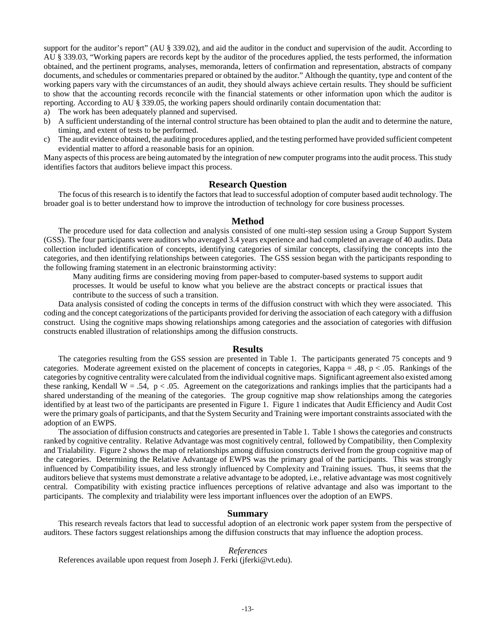support for the auditor's report" (AU § 339.02), and aid the auditor in the conduct and supervision of the audit. According to AU § 339.03, "Working papers are records kept by the auditor of the procedures applied, the tests performed, the information obtained, and the pertinent programs, analyses, memoranda, letters of confirmation and representation, abstracts of company documents, and schedules or commentaries prepared or obtained by the auditor." Although the quantity, type and content of the working papers vary with the circumstances of an audit, they should always achieve certain results. They should be sufficient to show that the accounting records reconcile with the financial statements or other information upon which the auditor is reporting. According to AU § 339.05, the working papers should ordinarily contain documentation that:

- a) The work has been adequately planned and supervised.
- b) A sufficient understanding of the internal control structure has been obtained to plan the audit and to determine the nature, timing, and extent of tests to be performed.
- c) The audit evidence obtained, the auditing procedures applied, and the testing performed have provided sufficient competent evidential matter to afford a reasonable basis for an opinion.

Many aspects of this process are being automated by the integration of new computer programs into the audit process. This study identifies factors that auditors believe impact this process.

#### **Research Question**

The focus of this research is to identify the factors that lead to successful adoption of computer based audit technology. The broader goal is to better understand how to improve the introduction of technology for core business processes.

#### **Method**

The procedure used for data collection and analysis consisted of one multi-step session using a Group Support System (GSS). The four participants were auditors who averaged 3.4 years experience and had completed an average of 40 audits. Data collection included identification of concepts, identifying categories of similar concepts, classifying the concepts into the categories, and then identifying relationships between categories. The GSS session began with the participants responding to the following framing statement in an electronic brainstorming activity:

Many auditing firms are considering moving from paper-based to computer-based systems to support audit processes. It would be useful to know what you believe are the abstract concepts or practical issues that

contribute to the success of such a transition.

Data analysis consisted of coding the concepts in terms of the diffusion construct with which they were associated. This coding and the concept categorizations of the participants provided for deriving the association of each category with a diffusion construct. Using the cognitive maps showing relationships among categories and the association of categories with diffusion constructs enabled illustration of relationships among the diffusion constructs.

#### **Results**

The categories resulting from the GSS session are presented in Table 1. The participants generated 75 concepts and 9 categories. Moderate agreement existed on the placement of concepts in categories, Kappa = .48, p < .05. Rankings of the categories by cognitive centrality were calculated from the individual cognitive maps. Significant agreement also existed among these ranking, Kendall W = .54,  $p < .05$ . Agreement on the categorizations and rankings implies that the participants had a shared understanding of the meaning of the categories. The group cognitive map show relationships among the categories identified by at least two of the participants are presented in Figure 1. Figure 1 indicates that Audit Efficiency and Audit Cost were the primary goals of participants, and that the System Security and Training were important constraints associated with the adoption of an EWPS.

The association of diffusion constructs and categories are presented in Table 1. Table 1 shows the categories and constructs ranked by cognitive centrality. Relative Advantage was most cognitively central, followed by Compatibility, then Complexity and Trialability. Figure 2 shows the map of relationships among diffusion constructs derived from the group cognitive map of the categories. Determining the Relative Advantage of EWPS was the primary goal of the participants. This was strongly influenced by Compatibility issues, and less strongly influenced by Complexity and Training issues. Thus, it seems that the auditors believe that systems must demonstrate a relative advantage to be adopted, i.e., relative advantage was most cognitively central. Compatibility with existing practice influences perceptions of relative advantage and also was important to the participants. The complexity and trialability were less important influences over the adoption of an EWPS.

#### **Summary**

This research reveals factors that lead to successful adoption of an electronic work paper system from the perspective of auditors. These factors suggest relationships among the diffusion constructs that may influence the adoption process.

#### *References*

References available upon request from Joseph J. Ferki (jferki@vt.edu).